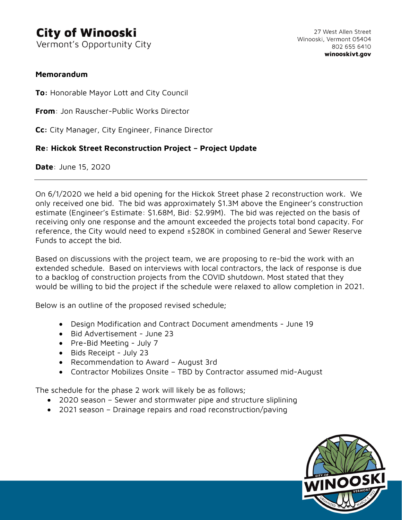## **City of Winooski**

Vermont's Opportunity City

## **Memorandum**

**To:** Honorable Mayor Lott and City Council

**From**: Jon Rauscher-Public Works Director

**Cc:** City Manager, City Engineer, Finance Director

## **Re: Hickok Street Reconstruction Project – Project Update**

**Date**: June 15, 2020

On 6/1/2020 we held a bid opening for the Hickok Street phase 2 reconstruction work. We only received one bid. The bid was approximately \$1.3M above the Engineer's construction estimate (Engineer's Estimate: \$1.68M, Bid: \$2.99M). The bid was rejected on the basis of receiving only one response and the amount exceeded the projects total bond capacity. For reference, the City would need to expend ±\$280K in combined General and Sewer Reserve Funds to accept the bid.

Based on discussions with the project team, we are proposing to re-bid the work with an extended schedule. Based on interviews with local contractors, the lack of response is due to a backlog of construction projects from the COVID shutdown. Most stated that they would be willing to bid the project if the schedule were relaxed to allow completion in 2021.

Below is an outline of the proposed revised schedule;

- Design Modification and Contract Document amendments June 19
- Bid Advertisement June 23
- Pre-Bid Meeting July 7
- Bids Receipt July 23
- Recommendation to Award August 3rd
- Contractor Mobilizes Onsite TBD by Contractor assumed mid-August

The schedule for the phase 2 work will likely be as follows;

- 2020 season Sewer and stormwater pipe and structure sliplining
- 2021 season Drainage repairs and road reconstruction/paving